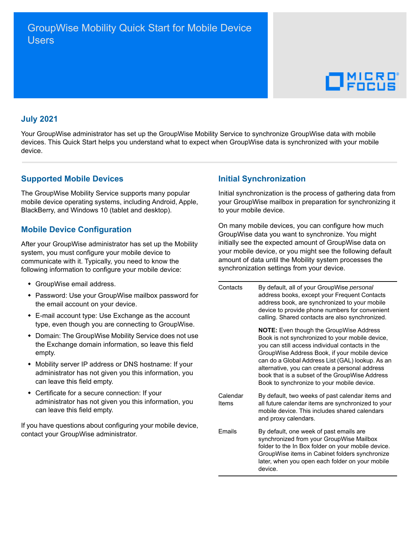# $\Box$ <sup>MICRO</sup>

#### **July 2021**

Your GroupWise administrator has set up the GroupWise Mobility Service to synchronize GroupWise data with mobile devices. This Quick Start helps you understand what to expect when GroupWise data is synchronized with your mobile device.

#### **Supported Mobile Devices**

The GroupWise Mobility Service supports many popular mobile device operating systems, including Android, Apple, BlackBerry, and Windows 10 (tablet and desktop).

## **Mobile Device Configuration**

After your GroupWise administrator has set up the Mobility system, you must configure your mobile device to communicate with it. Typically, you need to know the following information to configure your mobile device:

- GroupWise email address.
- Password: Use your GroupWise mailbox password for the email account on your device.
- E-mail account type: Use Exchange as the account type, even though you are connecting to GroupWise.
- Domain: The GroupWise Mobility Service does not use the Exchange domain information, so leave this field empty.
- Mobility server IP address or DNS hostname: If your administrator has not given you this information, you can leave this field empty.
- Certificate for a secure connection: If your administrator has not given you this information, you can leave this field empty.

If you have questions about configuring your mobile device, contact your GroupWise administrator.

#### **Initial Synchronization**

Initial synchronization is the process of gathering data from your GroupWise mailbox in preparation for synchronizing it to your mobile device.

On many mobile devices, you can configure how much GroupWise data you want to synchronize. You might initially see the expected amount of GroupWise data on your mobile device, or you might see the following default amount of data until the Mobility system processes the synchronization settings from your device.

| Contacts          | By default, all of your GroupWise personal<br>address books, except your Frequent Contacts<br>address book, are synchronized to your mobile<br>device to provide phone numbers for convenient<br>calling. Shared contacts are also synchronized.                                                                                                                                                            |
|-------------------|-------------------------------------------------------------------------------------------------------------------------------------------------------------------------------------------------------------------------------------------------------------------------------------------------------------------------------------------------------------------------------------------------------------|
|                   | <b>NOTE:</b> Even though the GroupWise Address<br>Book is not synchronized to your mobile device,<br>you can still access individual contacts in the<br>GroupWise Address Book, if your mobile device<br>can do a Global Address List (GAL) lookup. As an<br>alternative, you can create a personal address<br>book that is a subset of the GroupWise Address<br>Book to synchronize to your mobile device. |
| Calendar<br>Items | By default, two weeks of past calendar items and<br>all future calendar items are synchronized to your<br>mobile device. This includes shared calendars<br>and proxy calendars.                                                                                                                                                                                                                             |
| <b>Fmails</b>     | By default, one week of past emails are<br>synchronized from your GroupWise Mailbox<br>folder to the In Box folder on your mobile device.<br>GroupWise items in Cabinet folders synchronize<br>later, when you open each folder on your mobile<br>device.                                                                                                                                                   |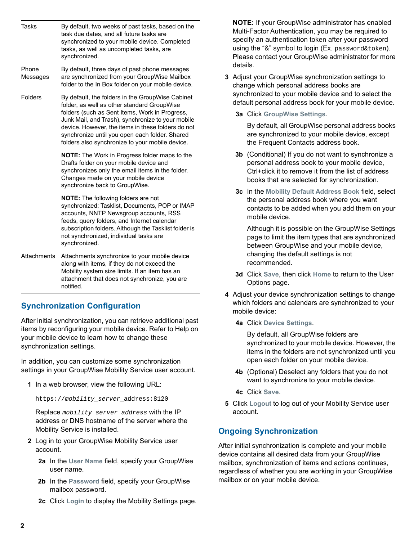| <b>Tasks</b>      | By default, two weeks of past tasks, based on the<br>task due dates, and all future tasks are<br>synchronized to your mobile device. Completed<br>tasks, as well as uncompleted tasks, are<br>synchronized.                                                                                                                                                       |
|-------------------|-------------------------------------------------------------------------------------------------------------------------------------------------------------------------------------------------------------------------------------------------------------------------------------------------------------------------------------------------------------------|
| Phone<br>Messages | By default, three days of past phone messages<br>are synchronized from your GroupWise Mailbox<br>folder to the In Box folder on your mobile device.                                                                                                                                                                                                               |
| Folders           | By default, the folders in the GroupWise Cabinet<br>folder, as well as other standard GroupWise<br>folders (such as Sent Items, Work in Progress,<br>Junk Mail, and Trash), synchronize to your mobile<br>device. However, the items in these folders do not<br>synchronize until you open each folder. Shared<br>folders also synchronize to your mobile device. |
|                   | <b>NOTE:</b> The Work in Progress folder maps to the<br>Drafts folder on your mobile device and<br>synchronizes only the email items in the folder.<br>Changes made on your mobile device<br>synchronize back to GroupWise.                                                                                                                                       |
|                   | <b>NOTE:</b> The following folders are not<br>synchronized: Tasklist, Documents, POP or IMAP<br>accounts, NNTP Newsgroup accounts, RSS<br>feeds, query folders, and Internet calendar<br>subscription folders. Although the Tasklist folder is<br>not synchronized, individual tasks are<br>synchronized.                                                         |
| Attachments       | Attachments synchronize to your mobile device<br>along with items, if they do not exceed the<br>Mobility system size limits. If an item has an<br>attachment that does not synchronize, you are<br>notified.                                                                                                                                                      |

## **Synchronization Configuration**

After initial synchronization, you can retrieve additional past items by reconfiguring your mobile device. Refer to Help on your mobile device to learn how to change these synchronization settings.

In addition, you can customize some synchronization settings in your GroupWise Mobility Service user account.

**1** In a web browser, view the following URL:

https://*mobility\_server*\_address:8120

Replace *mobility\_server\_address* with the IP address or DNS hostname of the server where the Mobility Service is installed.

- **2** Log in to your GroupWise Mobility Service user account.
	- **2a** In the **User Name** field, specify your GroupWise user name.
	- **2b** In the **Password** field, specify your GroupWise mailbox password.
	- **2c** Click **Login** to display the Mobility Settings page.

**NOTE:** If your GroupWise administrator has enabled Multi-Factor Authentication, you may be required to specify an authentication token after your password using the "&" symbol to login (Ex. password&token). Please contact your GroupWise administrator for more details.

- **3** Adjust your GroupWise synchronization settings to change which personal address books are synchronized to your mobile device and to select the default personal address book for your mobile device.
	- **3a** Click **GroupWise Settings**.

By default, all GroupWise personal address books are synchronized to your mobile device, except the Frequent Contacts address book.

- **3b** (Conditional) If you do not want to synchronize a personal address book to your mobile device, Ctrl+click it to remove it from the list of address books that are selected for synchronization.
- **3c** In the **Mobility Default Address Book** field, select the personal address book where you want contacts to be added when you add them on your mobile device.

Although it is possible on the GroupWise Settings page to limit the item types that are synchronized between GroupWise and your mobile device, changing the default settings is not recommended.

- **3d** Click **Save**, then click **Home** to return to the User Options page.
- **4** Adjust your device synchronization settings to change which folders and calendars are synchronized to your mobile device:
	- **4a** Click **Device Settings**.

By default, all GroupWise folders are synchronized to your mobile device. However, the items in the folders are not synchronized until you open each folder on your mobile device.

- **4b** (Optional) Deselect any folders that you do not want to synchronize to your mobile device.
- **4c** Click **Save**.
- **5** Click **Logout** to log out of your Mobility Service user account.

# **Ongoing Synchronization**

After initial synchronization is complete and your mobile device contains all desired data from your GroupWise mailbox, synchronization of items and actions continues, regardless of whether you are working in your GroupWise mailbox or on your mobile device.